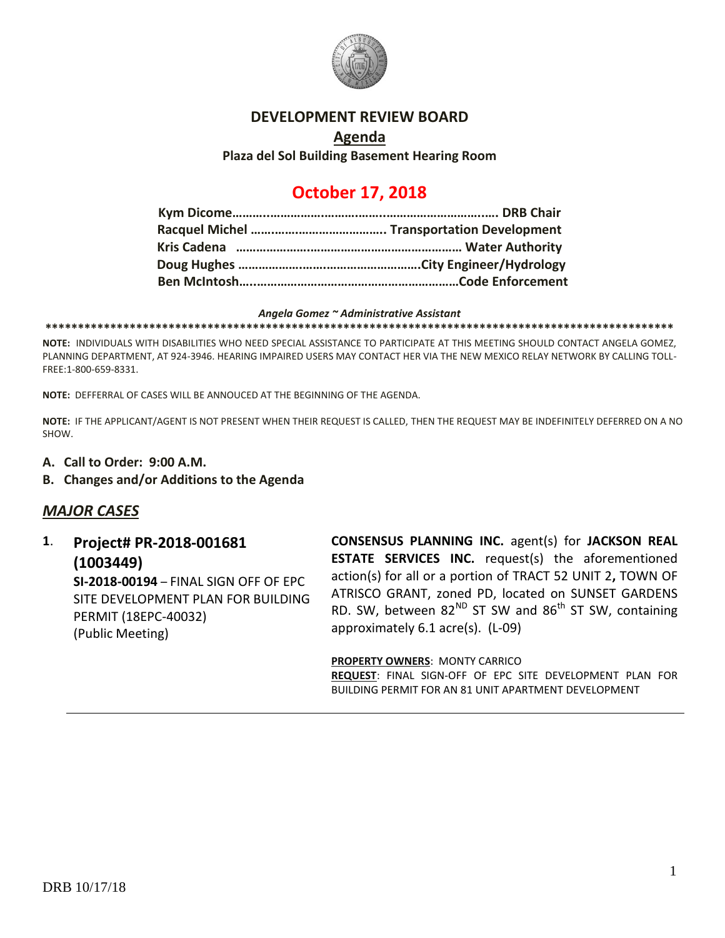

#### **DEVELOPMENT REVIEW BOARD**

## **Agenda Plaza del Sol Building Basement Hearing Room**

# **October 17, 2018**

#### *Angela Gomez ~ Administrative Assistant*

**\*\*\*\*\*\*\*\*\*\*\*\*\*\*\*\*\*\*\*\*\*\*\*\*\*\*\*\*\*\*\*\*\*\*\*\*\*\*\*\*\*\*\*\*\*\*\*\*\*\*\*\*\*\*\*\*\*\*\*\*\*\*\*\*\*\*\*\*\*\*\*\*\*\*\*\*\*\*\*\*\*\*\*\*\*\*\*\*\*\*\*\*\*\*\*\*\***

**NOTE:** INDIVIDUALS WITH DISABILITIES WHO NEED SPECIAL ASSISTANCE TO PARTICIPATE AT THIS MEETING SHOULD CONTACT ANGELA GOMEZ, PLANNING DEPARTMENT, AT 924-3946. HEARING IMPAIRED USERS MAY CONTACT HER VIA THE NEW MEXICO RELAY NETWORK BY CALLING TOLL-FREE:1-800-659-8331.

**NOTE:** DEFFERRAL OF CASES WILL BE ANNOUCED AT THE BEGINNING OF THE AGENDA.

**NOTE:** IF THE APPLICANT/AGENT IS NOT PRESENT WHEN THEIR REQUEST IS CALLED, THEN THE REQUEST MAY BE INDEFINITELY DEFERRED ON A NO SHOW.

- **A. Call to Order: 9:00 A.M.**
- **B. Changes and/or Additions to the Agenda**

## *MAJOR CASES*

**1**. **Project# PR-2018-001681 (1003449) SI-2018-00194** – FINAL SIGN OFF OF EPC SITE DEVELOPMENT PLAN FOR BUILDING PERMIT (18EPC-40032) (Public Meeting)

**CONSENSUS PLANNING INC.** agent(s) for **JACKSON REAL ESTATE SERVICES INC.** request(s) the aforementioned action(s) for all or a portion of TRACT 52 UNIT 2**,** TOWN OF ATRISCO GRANT, zoned PD, located on SUNSET GARDENS RD. SW, between  $82^{ND}$  ST SW and  $86^{th}$  ST SW, containing approximately 6.1 acre(s). (L-09)

**PROPERTY OWNERS**: MONTY CARRICO **REQUEST**: FINAL SIGN-OFF OF EPC SITE DEVELOPMENT PLAN FOR BUILDING PERMIT FOR AN 81 UNIT APARTMENT DEVELOPMENT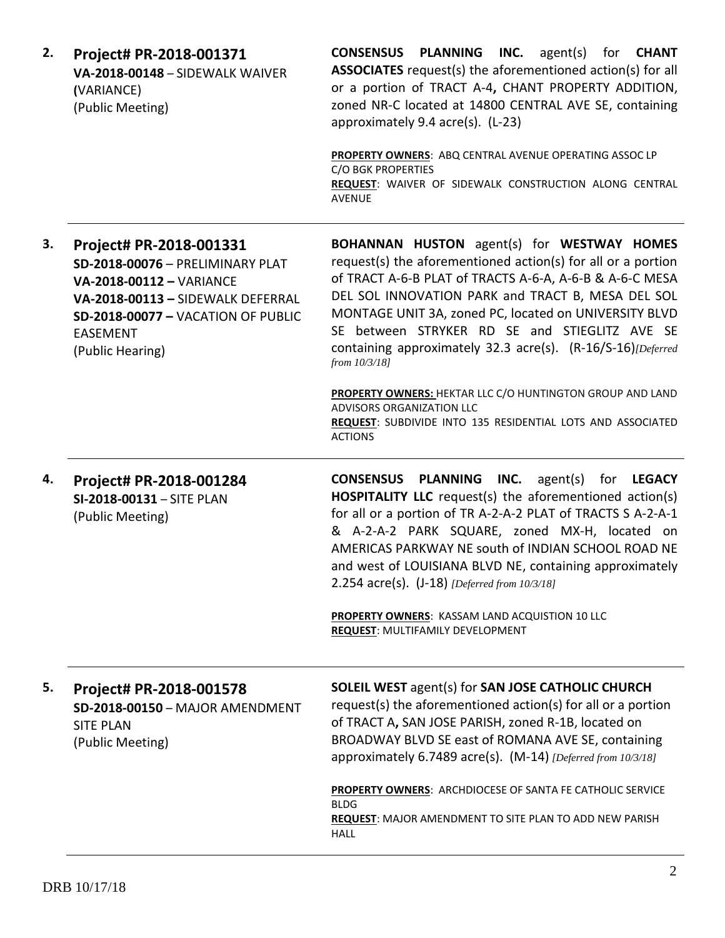| Project# PR-2018-001371<br>VA-2018-00148 - SIDEWALK WAIVER<br>(VARIANCE)<br>(Public Meeting)                                                                                                                     | <b>CONSENSUS PLANNING INC.</b> agent(s) for <b>CHANT</b><br><b>ASSOCIATES</b> request(s) the aforementioned action(s) for all<br>or a portion of TRACT A-4, CHANT PROPERTY ADDITION,<br>zoned NR-C located at 14800 CENTRAL AVE SE, containing<br>approximately 9.4 acre(s). (L-23)<br>PROPERTY OWNERS: ABQ CENTRAL AVENUE OPERATING ASSOC LP                                                                                                                             |
|------------------------------------------------------------------------------------------------------------------------------------------------------------------------------------------------------------------|---------------------------------------------------------------------------------------------------------------------------------------------------------------------------------------------------------------------------------------------------------------------------------------------------------------------------------------------------------------------------------------------------------------------------------------------------------------------------|
|                                                                                                                                                                                                                  | C/O BGK PROPERTIES<br>REQUEST: WAIVER OF SIDEWALK CONSTRUCTION ALONG CENTRAL<br><b>AVENUE</b>                                                                                                                                                                                                                                                                                                                                                                             |
| Project# PR-2018-001331<br>SD-2018-00076 - PRELIMINARY PLAT<br>VA-2018-00112 - VARIANCE<br>VA-2018-00113 - SIDEWALK DEFERRAL<br><b>SD-2018-00077 - VACATION OF PUBLIC</b><br><b>EASEMENT</b><br>(Public Hearing) | <b>BOHANNAN HUSTON</b> agent(s) for <b>WESTWAY HOMES</b><br>request(s) the aforementioned action(s) for all or a portion<br>of TRACT A-6-B PLAT of TRACTS A-6-A, A-6-B & A-6-C MESA<br>DEL SOL INNOVATION PARK and TRACT B, MESA DEL SOL<br>MONTAGE UNIT 3A, zoned PC, located on UNIVERSITY BLVD<br>SE between STRYKER RD SE and STIEGLITZ AVE SE<br>containing approximately 32.3 acre(s). (R-16/S-16)[Deferred<br>from 10/3/18]                                        |
|                                                                                                                                                                                                                  | PROPERTY OWNERS: HEKTAR LLC C/O HUNTINGTON GROUP AND LAND<br>ADVISORS ORGANIZATION LLC<br>REQUEST: SUBDIVIDE INTO 135 RESIDENTIAL LOTS AND ASSOCIATED<br><b>ACTIONS</b>                                                                                                                                                                                                                                                                                                   |
| Project# PR-2018-001284<br>SI-2018-00131 - SITE PLAN<br>(Public Meeting)                                                                                                                                         | <b>CONSENSUS</b><br>PLANNING INC.<br>agent(s) for <b>LEGACY</b><br><b>HOSPITALITY LLC</b> request(s) the aforementioned action(s)<br>for all or a portion of TR A-2-A-2 PLAT of TRACTS S A-2-A-1<br>& A-2-A-2 PARK SQUARE, zoned MX-H, located on<br>AMERICAS PARKWAY NE south of INDIAN SCHOOL ROAD NE<br>and west of LOUISIANA BLVD NE, containing approximately<br>2.254 $\arccos $ . (J-18) [Deferred from 10/3/18]                                                   |
|                                                                                                                                                                                                                  | PROPERTY OWNERS: KASSAM LAND ACQUISTION 10 LLC<br><b>REQUEST: MULTIFAMILY DEVELOPMENT</b>                                                                                                                                                                                                                                                                                                                                                                                 |
| Project# PR-2018-001578<br>SD-2018-00150 - MAJOR AMENDMENT<br><b>SITE PLAN</b><br>(Public Meeting)                                                                                                               | <b>SOLEIL WEST agent(s) for SAN JOSE CATHOLIC CHURCH</b><br>request(s) the aforementioned action(s) for all or a portion<br>of TRACT A, SAN JOSE PARISH, zoned R-1B, located on<br>BROADWAY BLVD SE east of ROMANA AVE SE, containing<br>approximately 6.7489 acre(s). (M-14) [Deferred from 10/3/18]<br><b>PROPERTY OWNERS: ARCHDIOCESE OF SANTA FE CATHOLIC SERVICE</b><br><b>BLDG</b><br><b>REQUEST:</b> MAJOR AMENDMENT TO SITE PLAN TO ADD NEW PARISH<br><b>HALL</b> |
|                                                                                                                                                                                                                  |                                                                                                                                                                                                                                                                                                                                                                                                                                                                           |